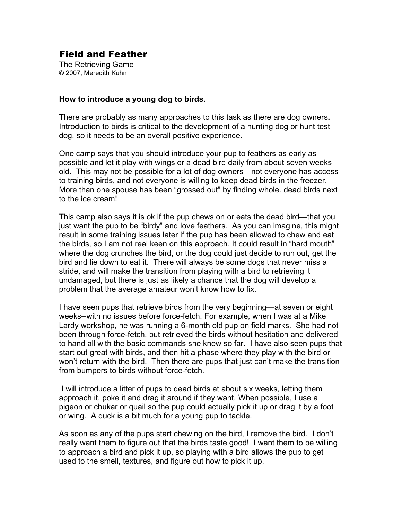## Field and Feather

The Retrieving Game © 2007, Meredith Kuhn

## **How to introduce a young dog to birds.**

There are probably as many approaches to this task as there are dog owners**.** Introduction to birds is critical to the development of a hunting dog or hunt test dog, so it needs to be an overall positive experience.

One camp says that you should introduce your pup to feathers as early as possible and let it play with wings or a dead bird daily from about seven weeks old. This may not be possible for a lot of dog owners—not everyone has access to training birds, and not everyone is willing to keep dead birds in the freezer. More than one spouse has been "grossed out" by finding whole. dead birds next to the ice cream!

This camp also says it is ok if the pup chews on or eats the dead bird—that you just want the pup to be "birdy" and love feathers. As you can imagine, this might result in some training issues later if the pup has been allowed to chew and eat the birds, so I am not real keen on this approach. It could result in "hard mouth" where the dog crunches the bird, or the dog could just decide to run out, get the bird and lie down to eat it. There will always be some dogs that never miss a stride, and will make the transition from playing with a bird to retrieving it undamaged, but there is just as likely a chance that the dog will develop a problem that the average amateur won't know how to fix.

I have seen pups that retrieve birds from the very beginning—at seven or eight weeks--with no issues before force-fetch. For example, when I was at a Mike Lardy workshop, he was running a 6-month old pup on field marks. She had not been through force-fetch, but retrieved the birds without hesitation and delivered to hand all with the basic commands she knew so far. I have also seen pups that start out great with birds, and then hit a phase where they play with the bird or won't return with the bird. Then there are pups that just can't make the transition from bumpers to birds without force-fetch.

I will introduce a litter of pups to dead birds at about six weeks, letting them approach it, poke it and drag it around if they want. When possible, I use a pigeon or chukar or quail so the pup could actually pick it up or drag it by a foot or wing. A duck is a bit much for a young pup to tackle.

As soon as any of the pups start chewing on the bird, I remove the bird. I don't really want them to figure out that the birds taste good! I want them to be willing to approach a bird and pick it up, so playing with a bird allows the pup to get used to the smell, textures, and figure out how to pick it up,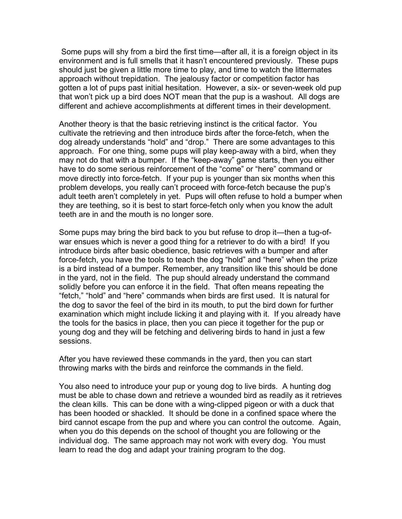Some pups will shy from a bird the first time—after all, it is a foreign object in its environment and is full smells that it hasn't encountered previously. These pups should just be given a little more time to play, and time to watch the littermates approach without trepidation. The jealousy factor or competition factor has gotten a lot of pups past initial hesitation. However, a six- or seven-week old pup that won't pick up a bird does NOT mean that the pup is a washout. All dogs are different and achieve accomplishments at different times in their development.

Another theory is that the basic retrieving instinct is the critical factor. You cultivate the retrieving and then introduce birds after the force-fetch, when the dog already understands "hold" and "drop." There are some advantages to this approach. For one thing, some pups will play keep-away with a bird, when they may not do that with a bumper. If the "keep-away" game starts, then you either have to do some serious reinforcement of the "come" or "here" command or move directly into force-fetch. If your pup is younger than six months when this problem develops, you really can't proceed with force-fetch because the pup's adult teeth aren't completely in yet. Pups will often refuse to hold a bumper when they are teething, so it is best to start force-fetch only when you know the adult teeth are in and the mouth is no longer sore.

Some pups may bring the bird back to you but refuse to drop it—then a tug-ofwar ensues which is never a good thing for a retriever to do with a bird! If you introduce birds after basic obedience, basic retrieves with a bumper and after force-fetch, you have the tools to teach the dog "hold" and "here" when the prize is a bird instead of a bumper. Remember, any transition like this should be done in the yard, not in the field. The pup should already understand the command solidly before you can enforce it in the field. That often means repeating the "fetch," "hold" and "here" commands when birds are first used. It is natural for the dog to savor the feel of the bird in its mouth, to put the bird down for further examination which might include licking it and playing with it. If you already have the tools for the basics in place, then you can piece it together for the pup or young dog and they will be fetching and delivering birds to hand in just a few sessions.

After you have reviewed these commands in the yard, then you can start throwing marks with the birds and reinforce the commands in the field.

You also need to introduce your pup or young dog to live birds. A hunting dog must be able to chase down and retrieve a wounded bird as readily as it retrieves the clean kills. This can be done with a wing-clipped pigeon or with a duck that has been hooded or shackled. It should be done in a confined space where the bird cannot escape from the pup and where you can control the outcome. Again, when you do this depends on the school of thought you are following or the individual dog. The same approach may not work with every dog. You must learn to read the dog and adapt your training program to the dog.